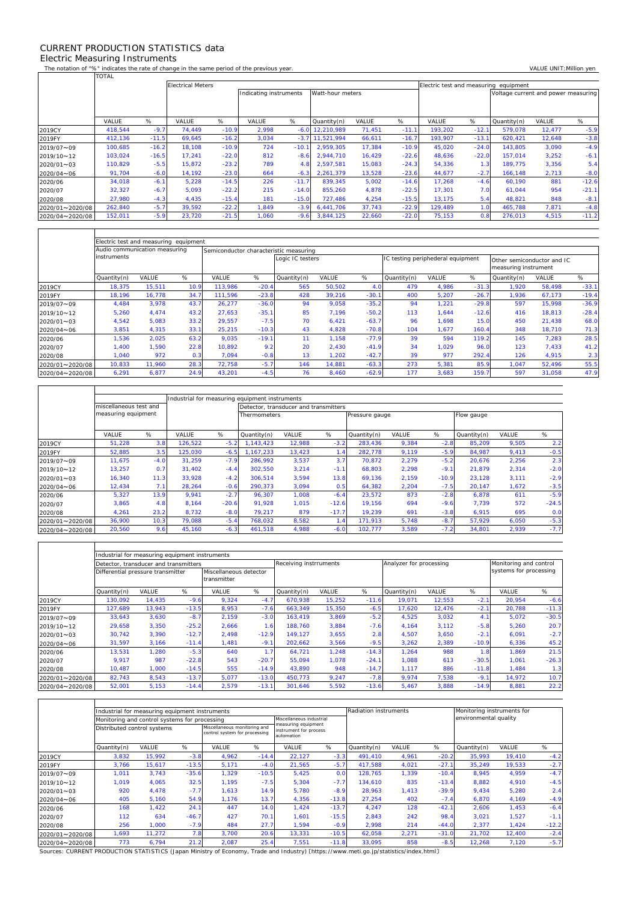## CURRENT PRODUCTION STATISTICS data Electric Measuring Instruments

 $\Gamma$ 

 $\mathbf{r}$ 

 $\overline{\mathsf{T}}$ 

٦

٦

The notation of "%" indicates the rate of change in the same period of the previous year. VALUE UNIT:Million yen<br>TOTAL TOTAL

|                 |         |         | <b>Electrical Meters</b> |         |                        |         |                  | Electric test and measuring equipment |         |         |         |                                     |        |         |
|-----------------|---------|---------|--------------------------|---------|------------------------|---------|------------------|---------------------------------------|---------|---------|---------|-------------------------------------|--------|---------|
|                 |         |         |                          |         | Indicating instruments |         | Watt-hour meters |                                       |         |         |         | Voltage current and power measuring |        |         |
|                 |         |         |                          |         |                        |         |                  |                                       |         |         |         |                                     |        |         |
|                 | VALUE   | %       | VALUE                    | %       | VALUE                  | %       | Quantity(n)      | VALUE                                 | %       | VALUE   | %       | Quantity(n)                         | VALUE  | %       |
| 2019CY          | 418,544 | $-9.7$  | 74.449                   | $-10.9$ | 2.998                  | $-6.0$  | 12,210,989       | 71,451                                | $-11.1$ | 193.202 | $-12.1$ | 579.078                             | 12,477 | $-5.9$  |
| 2019FY          | 412,136 | $-11.5$ | 69,645                   | $-16.2$ | 3,034                  | $-3.7$  | 11,521,994       | 66,611                                | $-16.7$ | 193,907 | $-13.1$ | 620,421                             | 12,648 | $-3.8$  |
| 2019/07~09      | 100,685 | $-16.2$ | 18.108                   | $-10.9$ | 724                    | $-10.1$ | 2.959.305        | 17,384                                | $-10.9$ | 45.020  | $-24.0$ | 143.805                             | 3,090  | $-4.9$  |
| 2019/10~12      | 103,024 | $-16.5$ | 17,241                   | $-22.0$ | 812                    | $-8.6$  | 2.944.710        | 16,429                                | $-22.6$ | 48,636  | $-22.0$ | 157,014                             | 3,252  | $-6.1$  |
| 2020/01~03      | 110,829 | $-5.5$  | 15,872                   | $-23.2$ | 789                    | 4.8     | 2.597.581        | 15,083                                | $-24.3$ | 54,336  | 1.3     | 189.775                             | 3,356  | 5.4     |
| 2020/04~06      | 91,704  | $-6.0$  | 14,192                   | $-23.0$ | 664                    | $-6.3$  | 2,261,379        | 13,528                                | $-23.6$ | 44,677  | $-2.7$  | 166,148                             | 2,713  | $-8.0$  |
| 2020/06         | 34,018  | $-6.1$  | 5,228                    | $-14.5$ | 226                    | $-11.7$ | 839,345          | 5,002                                 | $-14.6$ | 17,268  | $-4.6$  | 60,190                              | 881    | $-12.6$ |
| 2020/07         | 32,327  | $-6.7$  | 5,093                    | $-22.2$ | 215                    | $-14.0$ | 855.260          | 4,878                                 | $-22.5$ | 17,301  | 7.0     | 61,044                              | 954    | $-21.1$ |
| 2020/08         | 27,980  | $-4.3$  | 4.435                    | $-15.4$ | 181                    | $-15.0$ | 727,486          | 4,254                                 | $-15.5$ | 13.175  | 5.4     | 48,821                              | 848    | $-8.7$  |
| 2020/01~2020/08 | 262,840 | $-5.7$  | 39,592                   | $-22.2$ | 1,849                  | $-3.9$  | 6.441.706        | 37,743                                | $-22.9$ | 129,489 | 1.0     | 465.788                             | 7,871  | $-4.8$  |
| 2020/04~2020/08 | 152,011 | $-5.9$  | 23,720                   | $-21.5$ | 1,060                  | $-9.6$  | 3,844,125        | 22,660                                | $-22.0$ | 75,153  | 0.8     | 276,013                             | 4,515  | $-11.2$ |

|                 |             | Electric test and measuring equipment |      |                                        |         |                  |        |                |                                   |       |         |                                                    |              |         |  |  |
|-----------------|-------------|---------------------------------------|------|----------------------------------------|---------|------------------|--------|----------------|-----------------------------------|-------|---------|----------------------------------------------------|--------------|---------|--|--|
|                 |             | Audio communication measuring         |      | Semiconductor characteristic measuring |         |                  |        |                |                                   |       |         |                                                    |              |         |  |  |
|                 | instruments |                                       |      |                                        |         | Logic IC testers |        |                | IC testing periphederal equipment |       |         | Other semiconductor and IC<br>measuring instrument |              |         |  |  |
|                 | Quantity(n) | VALUE                                 | %    | VALUE                                  | %       | Quantity(n)      | VALUE  | %              | Quantity(n)                       | VALUE | %       | Quantity(n)                                        | <b>VALUE</b> | %       |  |  |
| 2019CY          | 18,375      | 15,511                                | 10.9 | 113.986                                | $-20.4$ | 565              | 50,502 | 4 <sub>c</sub> | 479                               | 4,986 | $-31.3$ | 1.920                                              | 58,498       | $-33.1$ |  |  |
| 2019FY          | 18.196      | 16.778                                | 34.7 | 111.596                                | $-23.8$ | 428              | 39,216 | $-30.1$        | 400                               | 5,207 | $-26.7$ | 1.936                                              | 67,173       | $-19.4$ |  |  |
| 2019/07~09      | 4,484       | 3,978                                 | 43.7 | 26,277                                 | $-36.0$ | 94               | 9,058  | $-35.2$        | 94                                | 1,221 | $-29.8$ | 597                                                | 15,998       | $-36.9$ |  |  |
| 2019/10~12      | 5,260       | 4.474                                 | 43.2 | 27.653                                 | $-35.1$ | 85               | 7,196  | $-50.2$        | 113                               | 1,644 | $-12.6$ | 416                                                | 18,813       | $-28.4$ |  |  |
| 2020/01~03      | 4,542       | 5,083                                 | 33.2 | 29,557                                 | $-7.5$  | 70               | 6,421  | $-63.7$        | 96                                | 1,698 | 15.0    | 450                                                | 21,438       | 68.0    |  |  |
| 2020/04~06      | 3,851       | 4,315                                 | 33.1 | 25,215                                 | $-10.3$ | 43               | 4,828  | $-70.8$        | 104                               | 1,677 | 160.4   | 348                                                | 18,710       | 71.3    |  |  |
| 2020/06         | 1,536       | 2,025                                 | 63.2 | 9,035                                  | $-19.1$ | 11               | 1,158  | $-77.9$        | 39                                | 594   | 119.2   | 145                                                | 7,283        | 28.5    |  |  |
| 2020/07         | 1,400       | 1.590                                 | 22.8 | 10,892                                 | 9.2     | 20               | 2.430  | $-41.9$        | 34                                | 1,029 | 96.0    | 123                                                | 7,433        | 41.2    |  |  |
| 2020/08         | 1,040       | 972                                   | 0.3  | 7,094                                  | $-0.8$  | 13               | 1,202  | $-42.7$        | 39                                | 977   | 292.4   | 126                                                | 4,915        | 2.3     |  |  |
| 2020/01~2020/08 | 10,833      | 11,960                                | 28.3 | 72,758                                 | $-5.7$  | 146              | 14,881 | $-63.3$        | 273                               | 5,381 | 85.9    | 1,047                                              | 52,496       | 55.5    |  |  |
| 2020/04~2020/08 | 6,291       | 6,877                                 | 24.9 | 43,201                                 | $-4.5$  | 76               | 8,460  | $-62.9$        | 177                               | 3,683 | 159.7   | 597                                                | 31,058       | 47.9    |  |  |

|                 |                        |        |         |         | Industrial for measuring equipment instruments |        |               |                |       |         |             |       |         |  |  |
|-----------------|------------------------|--------|---------|---------|------------------------------------------------|--------|---------------|----------------|-------|---------|-------------|-------|---------|--|--|
|                 | miscellaneous test and |        |         |         | Detector, transducer and transmitters          |        |               |                |       |         |             |       |         |  |  |
|                 | measuring equipment    |        |         |         | <b>Thermometers</b>                            |        |               | Pressure gauge |       |         | Flow gauge  |       |         |  |  |
|                 |                        |        |         |         |                                                |        |               |                |       |         |             |       |         |  |  |
|                 | VALUE                  | %      | VALUE   | %       | Quantity(n)                                    | VALUE  | %             | Quantity(n)    | VALUE | %       | Quantity(n) | VALUE | %       |  |  |
| 2019CY          | 51,228                 | 3.8    | 126,522 | $-5.2$  | 1.143.423                                      | 12,988 | $-3.2$        | 283,436        | 9,384 | $-2.8$  | 85,209      | 9,505 | 2.2     |  |  |
| 2019FY          | 52,885                 | 3.5    | 125,030 | $-6.5$  | 1.167.233                                      | 13,423 | 1.4           | 282.778        | 9,119 | $-5.9$  | 84.987      | 9,413 | $-0.5$  |  |  |
| 2019/07~09      | 11.675                 | $-4.0$ | 31.259  | $-7.9$  | 286.992                                        | 3,537  | 3.7           | 70.872         | 2,279 | $-5.2$  | 20,676      | 2,256 | 2.3     |  |  |
| 2019/10~12      | 13,257                 | 0.7    | 31.402  | $-4.4$  | 302,550                                        | 3,214  | $-1.1$        | 68,803         | 2,298 | $-9.1$  | 21,879      | 2,314 | $-2.0$  |  |  |
| 2020/01~03      | 16,340                 | 11.3   | 33.928  | $-4.2$  | 306.514                                        | 3,594  | 13.8          | 69,136         | 2,159 | $-10.9$ | 23,128      | 3,111 | $-2.9$  |  |  |
| 2020/04~06      | 12,434                 | 7.1    | 28,264  | $-0.6$  | 290.373                                        | 3,094  | 0.5           | 64,382         | 2,204 | $-7.5$  | 20.147      | 1,672 | $-3.5$  |  |  |
| 2020/06         | 5.327                  | 13.9   | 9.941   | $-2.7$  | 96.307                                         | 1.008  | $-6.4$        | 23.572         | 873   | $-2.8$  | 6.878       | 611   | $-5.9$  |  |  |
| 2020/07         | 3,865                  | 4.8    | 8,164   | $-20.6$ | 91.928                                         | 1,015  | $-12.6$       | 19,156         | 694   | $-9.6$  | 7.739       | 572   | $-24.5$ |  |  |
| 2020/08         | 4.261                  | 23.2   | 8.732   | $-8.0$  | 79.217                                         | 879    | $-17.7$       | 19.239         | 691   | $-3.8$  | 6.915       | 695   | 0.0     |  |  |
| 2020/01~2020/08 | 36,900                 | 10.3   | 79,088  | $-5.4$  | 768,032                                        | 8,582  | $1.4^{\circ}$ | 171.913        | 5,748 | $-8.7$  | 57.929      | 6,050 | $-5.3$  |  |  |
| 2020/04~2020/08 | 20,560                 | 9.6    | 45,160  | $-6.3$  | 461,518                                        | 4,988  | $-6.0$        | 102,777        | 3,589 | $-7.2$  | 34,801      | 2,939 | $-7.7$  |  |  |

|                 |                                       | Industrial for measuring equipment instruments |         |                                       |         |                        |        |         |                         |        |                        |        |         |
|-----------------|---------------------------------------|------------------------------------------------|---------|---------------------------------------|---------|------------------------|--------|---------|-------------------------|--------|------------------------|--------|---------|
|                 | Detector, transducer and transmitters |                                                |         |                                       |         | Receiving instrruments |        |         | Analyzer for processing |        | Monitoring and control |        |         |
|                 | Differential pressure transmitter     |                                                |         | Miscellaneous detector<br>transmitter |         |                        |        |         |                         |        | systems for processing |        |         |
|                 | Quantity(n)                           | <b>VALUE</b>                                   | %       | <b>VALUE</b>                          | %       | Quantity(n)            | VALUE  | %       | Quantity(n)             | VALUE  | %                      | VALUE  | %       |
| 2019CY          | 130.092                               | 14,435                                         | $-9.6$  | 9,324                                 | $-4.7$  | 670.938                | 15,252 | $-11.6$ | 19.071                  | 12,553 | $-2.1$                 | 20,954 | $-6.6$  |
| 2019FY          | 127,689                               | 13,943                                         | $-13.5$ | 8,953                                 | $-7.6$  | 663,349                | 15,350 | $-6.5$  | 17,620                  | 12,476 | $-2.1$                 | 20,788 | $-11.3$ |
| 2019/07~09      | 33,643                                | 3,630                                          | $-8.7$  | 2,159                                 | $-3.0$  | 163.419                | 3,869  | $-5.2$  | 4,525                   | 3,032  | 4.1                    | 5,072  | $-30.5$ |
| 2019/10~12      | 29,658                                | 3,350                                          | $-25.2$ | 2,666                                 | .6      | 188.760                | 3,884  | $-7.6$  | 4.164                   | 3,112  | $-5.8$                 | 5,260  | 20.7    |
| 2020/01~03      | 30,742                                | 3,390                                          | $-12.7$ | 2,498                                 | $-12.9$ | 149.127                | 3,655  | 2.8     | 4,507                   | 3,650  | $-2.1$                 | 6,091  | $-2.7$  |
| 2020/04~06      | 31,597                                | 3,166                                          | $-11.4$ | 1,481                                 | $-9.1$  | 202,662                | 3,566  | $-9.5$  | 3,262                   | 2,389  | $-10.9$                | 6,336  | 45.2    |
| 2020/06         | 13,531                                | ,280                                           | $-5.3$  | 640                                   | 1.7     | 64,721                 | 1,248  | $-14.3$ | 1,264                   | 988    | l.8                    | 1,869  | 21.5    |
| 2020/07         | 9,917                                 | 987                                            | $-22.8$ | 543                                   | $-20.7$ | 55,094                 | 1,078  | $-24.1$ | 1,088                   | 613    | $-30.5$                | 1,061  | $-26.3$ |
| 2020/08         | 10,487                                | 1,000                                          | $-14.5$ | 555                                   | $-14.9$ | 43.890                 | 948    | $-14.7$ | 1.117                   | 886    | $-11.8$                | 1,484  | 1.3     |
| 2020/01~2020/08 | 82,743                                | 8,543                                          | $-13.7$ | 5,077                                 | $-13.0$ | 450,773                | 9,247  | $-7.8$  | 9,974                   | 7,538  | $-9.1$                 | 14,972 | 10.7    |
| 2020/04~2020/08 | 52,001                                | 5,153                                          | $-14.4$ | 2,579                                 | $-13.1$ | 301,646                | 5,592  | $-13.6$ | 5,467                   | 3,888  | $-14.9$                | 8,881  | 22.2    |

|                 |                             |                                                |         |                                                               |         | Radiation instruments                                       |         |             | Monitoring instruments for |         |                       |        |         |  |  |
|-----------------|-----------------------------|------------------------------------------------|---------|---------------------------------------------------------------|---------|-------------------------------------------------------------|---------|-------------|----------------------------|---------|-----------------------|--------|---------|--|--|
|                 |                             | Industrial for measuring equipment instruments |         |                                                               |         | Miscellaneous industrial                                    |         |             |                            |         | environmental quality |        |         |  |  |
|                 |                             | Monitoring and control systems for processing  |         |                                                               |         | measuring equipment<br>instrument for process<br>automation |         |             |                            |         |                       |        |         |  |  |
|                 | Distributed control systems |                                                |         | Miscellaneous monitoring and<br>control system for processing |         |                                                             |         |             |                            |         |                       |        |         |  |  |
|                 | Quantity(n)                 | <b>VALUE</b>                                   | %       | VALUE                                                         | %       | VALUE                                                       | %       | Quantity(n) | VALUE                      | %       | Quantity(n)           | VALUE  | %       |  |  |
| 2019CY          | 3,832                       | 15,992                                         | $-3.8$  | 4,962                                                         | $-14.4$ | 22,127                                                      | $-3.3$  | 491.410     | 4,961                      | $-20.2$ | 35,993                | 19,410 | $-4.2$  |  |  |
| 2019FY          | 3,766                       | 15,617                                         | $-13.5$ | 5,171                                                         | $-4.0$  | 21,565                                                      | $-5.7$  | 417.588     | 4,021                      | $-27.1$ | 35,249                | 19,533 | $-2.7$  |  |  |
| 2019/07~09      | 1.011                       | 3,743                                          | $-35.6$ | 1.329                                                         | $-10.5$ | 5.425                                                       | 0.0     | 128.765     | 1.339                      | $-10.4$ | 8.945                 | 4.959  | $-4.7$  |  |  |
| 2019/10~12      | 1.019                       | 4.065                                          | 32.5    | 1.195                                                         | $-7.5$  | 5.304                                                       | $-7.7$  | 134.610     | 835                        | $-13.4$ | 8.882                 | 4,910  | $-4.5$  |  |  |
| 2020/01~03      | 920                         | 4,478                                          | $-7.7$  | 1.613                                                         | 14.9    | 5.780                                                       | $-8.9$  | 28.963      | 1,413                      | $-39.9$ | 9,434                 | 5,280  | 2.4     |  |  |
| 2020/04~06      | 405                         | 5,160                                          | 54.9    | 1,176                                                         | 13.7    | 4,356                                                       | $-13.8$ | 27,254      | 402                        | $-7.4$  | 6,870                 | 4,169  | $-4.9$  |  |  |
| 2020/06         | 168                         | 1,422                                          | 24.1    | 447                                                           | 14.0    | 1.424                                                       | $-13.7$ | 4.247       | 128                        | $-42.1$ | 2,606                 | 1.453  | $-6.4$  |  |  |
| 2020/07         | 112                         | 634                                            | $-46.7$ | 427                                                           | 70.1    | 1.601                                                       | $-15.5$ | 2.843       | 242                        | 98.4    | 3.021                 | 1,527  | $-1.1$  |  |  |
| 2020/08         | 256                         | 1,000                                          | $-7.9$  | 484                                                           | 27.7    | 1,594                                                       | $-0.9$  | 2,998       | 214                        | $-44.0$ | 2,377                 | 1,424  | $-12.2$ |  |  |
| 2020/01~2020/08 | 1,693                       | 11,272                                         | 7.8     | 3.700                                                         | 20.6    | 13,331                                                      | $-10.5$ | 62,058      | 2,271                      | $-31.0$ | 21.702                | 12,400 | $-2.4$  |  |  |
| 2020/04~2020/08 | 773                         | 6,794                                          | 21.2    | 2,087                                                         | 25.4    | 7,551                                                       | $-11.8$ | 33,095      | 858                        | $-8.5$  | 12,268                | 7,120  | $-5.7$  |  |  |

Sources: CURRENT PRODUCTION STATISTICS (Japan Ministry of Economy, Trade and Industry) 〔https://www.meti.go.jp/statistics/index.html〕